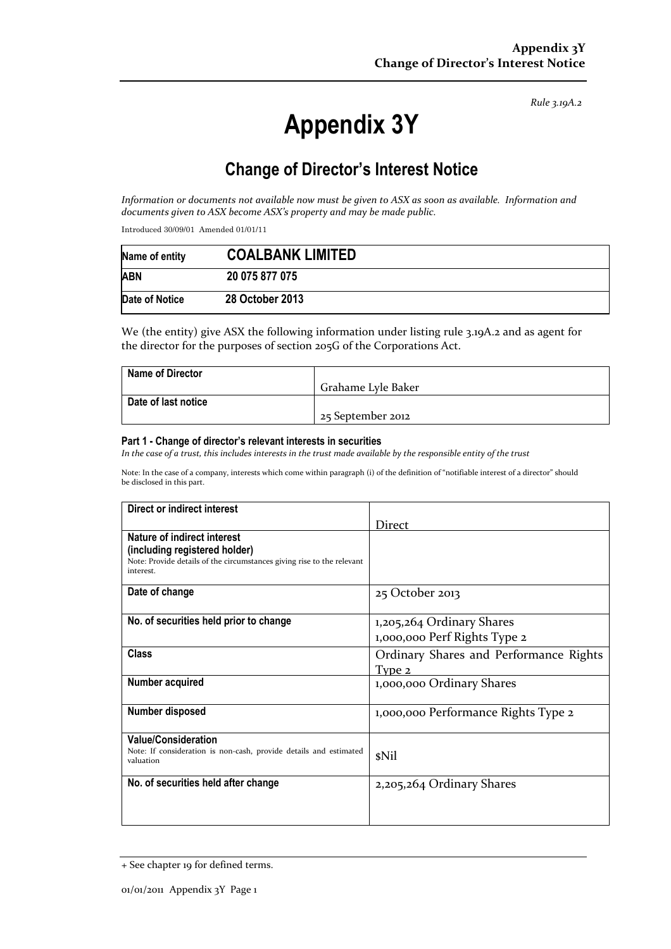*Rule 3.19A.2*

# **Appendix 3Y**

# **Change of Director's Interest Notice**

*Information or documents not available now must be given to ASX as soon as available. Information and documents given to ASX become ASX's property and may be made public.* 

Introduced 30/09/01 Amended 01/01/11

| Name of entity | <b>COALBANK LIMITED</b> |
|----------------|-------------------------|
| <b>ABN</b>     | 20 075 877 075          |
| Date of Notice | 28 October 2013         |

We (the entity) give ASX the following information under listing rule 3.19A.2 and as agent for the director for the purposes of section 205G of the Corporations Act.

| <b>Name of Director</b> |                    |
|-------------------------|--------------------|
|                         | Grahame Lyle Baker |
| Date of last notice     |                    |
|                         | 25 September 2012  |

#### **Part 1 - Change of director's relevant interests in securities**

*In the case of a trust, this includes interests in the trust made available by the responsible entity of the trust* 

Note: In the case of a company, interests which come within paragraph (i) of the definition of "notifiable interest of a director" should be disclosed in this part.

| Direct or indirect interest                                                                                                                                |                                                           |
|------------------------------------------------------------------------------------------------------------------------------------------------------------|-----------------------------------------------------------|
|                                                                                                                                                            | Direct                                                    |
| <b>Nature of indirect interest</b><br>(including registered holder)<br>Note: Provide details of the circumstances giving rise to the relevant<br>interest. |                                                           |
| Date of change                                                                                                                                             | 25 October 2013                                           |
| No. of securities held prior to change                                                                                                                     | 1,205,264 Ordinary Shares<br>1,000,000 Perf Rights Type 2 |
| <b>Class</b>                                                                                                                                               | Ordinary Shares and Performance Rights<br>Type 2          |
| Number acquired                                                                                                                                            | 1,000,000 Ordinary Shares                                 |
| Number disposed                                                                                                                                            | 1,000,000 Performance Rights Type 2                       |
| <b>Value/Consideration</b><br>Note: If consideration is non-cash, provide details and estimated<br>valuation                                               | \$Nil                                                     |
| No. of securities held after change                                                                                                                        | 2,205,264 Ordinary Shares                                 |

<sup>+</sup> See chapter 19 for defined terms.